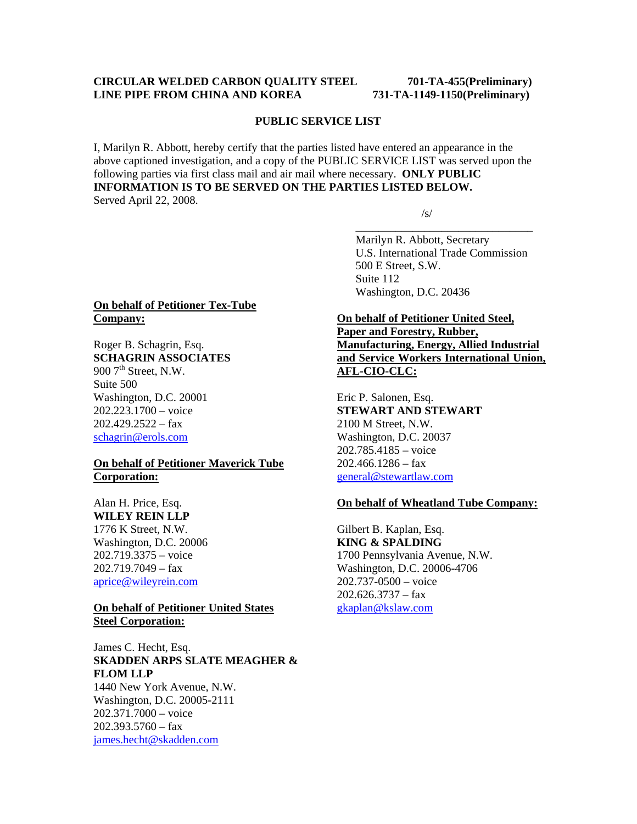#### **CIRCULAR WELDED CARBON QUALITY STEEL 701-TA-455(Preliminary) LINE PIPE FROM CHINA AND KOREA 731-TA-1149-1150(Preliminary)**

#### **PUBLIC SERVICE LIST**

I, Marilyn R. Abbott, hereby certify that the parties listed have entered an appearance in the above captioned investigation, and a copy of the PUBLIC SERVICE LIST was served upon the following parties via first class mail and air mail where necessary. **ONLY PUBLIC INFORMATION IS TO BE SERVED ON THE PARTIES LISTED BELOW.**  Served April 22, 2008.

 $\overline{\phantom{a}}$  , and the contract of the contract of the contract of the contract of the contract of the contract of the contract of the contract of the contract of the contract of the contract of the contract of the contrac

 $\sqrt{s}$ /s/

 Marilyn R. Abbott, Secretary U.S. International Trade Commission 500 E Street, S.W. Suite 112 Washington, D.C. 20436

# **On behalf of Petitioner Tex-Tube Company:**

Roger B. Schagrin, Esq. **SCHAGRIN ASSOCIATES**  900 7<sup>th</sup> Street, N.W. Suite 500 Washington, D.C. 20001 202.223.1700 – voice  $202.429.2522 - fax$ schagrin@erols.com

# **On behalf of Petitioner Maverick Tube Corporation:**

Alan H. Price, Esq. **WILEY REIN LLP** 1776 K Street, N.W. Washington, D.C. 20006 202.719.3375 – voice  $202.719.7049 - fax$ aprice@wileyrein.com

#### **On behalf of Petitioner United States Steel Corporation:**

James C. Hecht, Esq. **SKADDEN ARPS SLATE MEAGHER & FLOM LLP**

1440 New York Avenue, N.W. Washington, D.C. 20005-2111 202.371.7000 – voice 202.393.5760 – fax james.hecht@skadden.com

# **On behalf of Petitioner United Steel, Paper and Forestry, Rubber, Manufacturing, Energy, Allied Industrial**

**and Service Workers International Union, AFL-CIO-CLC:**

Eric P. Salonen, Esq. **STEWART AND STEWART** 2100 M Street, N.W. Washington, D.C. 20037 202.785.4185 – voice 202.466.1286 – fax general@stewartlaw.com

# **On behalf of Wheatland Tube Company:**

Gilbert B. Kaplan, Esq. **KING & SPALDING** 1700 Pennsylvania Avenue, N.W. Washington, D.C. 20006-4706 202.737-0500 – voice  $202.626.3737 - fax$ gkaplan@kslaw.com